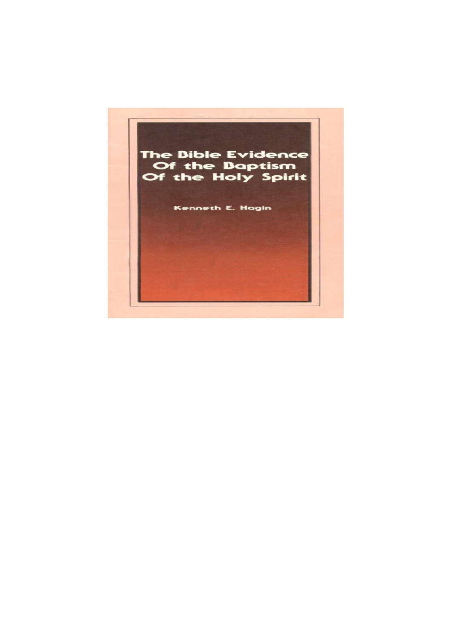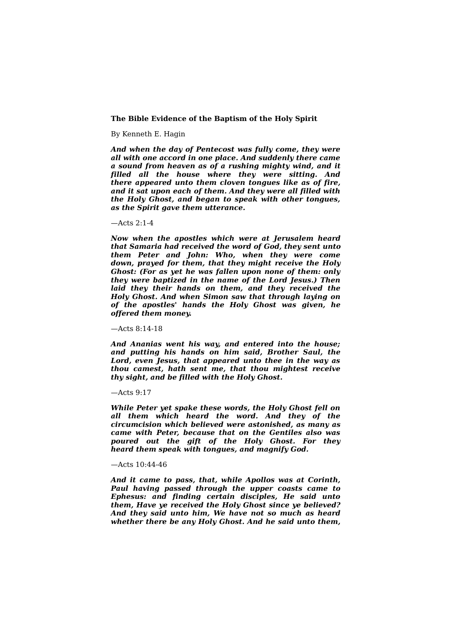## **The Bible Evidence of the Baptism of the Holy Spirit**

## By Kenneth E. Hagin

*And when the day of Pentecost was fully come, they were all with one accord in one place. And suddenly there came a sound from heaven as of a rushing mighty wind, and it filled all the house where they were sitting. And there appeared unto them cloven tongues like as of fire, and it sat upon each of them. And they were all filled with the Holy Ghost, and began to speak with other tongues, as the Spirit gave them utterance.*

 $-\text{Acts}$  2:1-4

*Now when the apostles which were at Jerusalem heard that Samaria had received the word of God, they sent unto them Peter and John: Who, when they were come down, prayed for them, that they might receive the Holy Ghost: (For as yet he was fallen upon none of them: only they were baptized in the name of the Lord Jesus.) Then laid they their hands on them, and they received the Holy Ghost. And when Simon saw that through laying on of the apostles' hands the Holy Ghost was given, he offered them money.*

—Acts 8:14-18

*And Ananias went his way, and entered into the house; and putting his hands on him said, Brother Saul, the Lord, even Jesus, that appeared unto thee in the way as thou camest, hath sent me, that thou mightest receive thy sight, and be filled with the Holy Ghost.*

—Acts 9:17

*While Peter yet spake these words, the Holy Ghost fell on all them which heard the word. And they of the circumcision which believed were astonished, as many as came with Peter, because that on the Gentiles also was poured out the gift of the Holy Ghost. For they heard them speak with tongues, and magnify God.*

# —Acts 10:44-46

*And it came to pass, that, while Apollos was at Corinth, Paul having passed through the upper coasts came to Ephesus: and finding certain disciples, He said unto them, Have ye received the Holy Ghost since ye believed? And they said unto him, We have not so much as heard whether there be any Holy Ghost. And he said unto them,*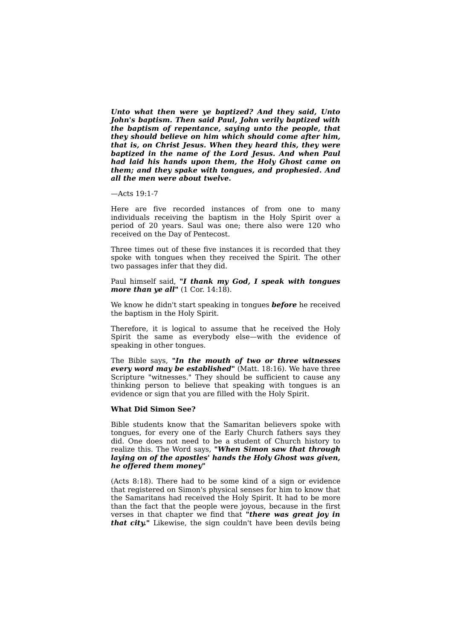*Unto what then were ye baptized? And they said, Unto John's baptism. Then said Paul, John verily baptized with the baptism of repentance, saying unto the people, that they should believe on him which should come after him, that is, on Christ Jesus. When they heard this, they were baptized in the name of the Lord Jesus. And when Paul had laid his hands upon them, the Holy Ghost came on them; and they spake with tongues, and prophesied. And all the men were about twelve.*

#### —Acts 19:1-7

Here are five recorded instances of from one to many individuals receiving the baptism in the Holy Spirit over a period of 20 years. Saul was one; there also were 120 who received on the Day of Pentecost.

Three times out of these five instances it is recorded that they spoke with tongues when they received the Spirit. The other two passages infer that they did.

Paul himself said, *"I thank my God, I speak with tongues more than ye all"* (1 Cor. 14:18).

We know he didn't start speaking in tongues *before* he received the baptism in the Holy Spirit.

Therefore, it is logical to assume that he received the Holy Spirit the same as everybody else—with the evidence of speaking in other tongues.

The Bible says, *"In the mouth of two or three witnesses every word may be established"* (Matt. 18:16). We have three Scripture "witnesses." They should be sufficient to cause any thinking person to believe that speaking with tongues is an evidence or sign that you are filled with the Holy Spirit.

#### **What Did Simon See?**

Bible students know that the Samaritan believers spoke with tongues, for every one of the Early Church fathers says they did. One does not need to be a student of Church history to realize this. The Word says, *"When Simon saw that through laying on of the apostles' hands the Holy Ghost was given, he offered them money"*

(Acts 8:18). There had to be some kind of a sign or evidence that registered on Simon's physical senses for him to know that the Samaritans had received the Holy Spirit. It had to be more than the fact that the people were joyous, because in the first verses in that chapter we find that *"there was great joy in that city."* Likewise, the sign couldn't have been devils being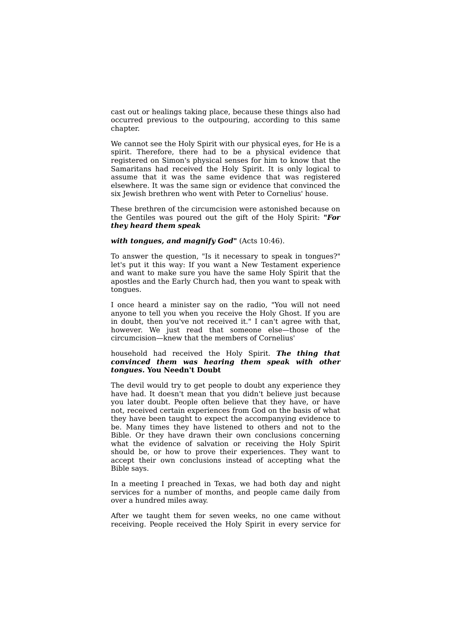cast out or healings taking place, because these things also had occurred previous to the outpouring, according to this same chapter.

We cannot see the Holy Spirit with our physical eyes, for He is a spirit. Therefore, there had to be a physical evidence that registered on Simon's physical senses for him to know that the Samaritans had received the Holy Spirit. It is only logical to assume that it was the same evidence that was registered elsewhere. It was the same sign or evidence that convinced the six Jewish brethren who went with Peter to Cornelius' house.

These brethren of the circumcision were astonished because on the Gentiles was poured out the gift of the Holy Spirit: *"For they heard them speak*

# *with tongues, and magnify God"* (Acts 10:46).

To answer the question, "Is it necessary to speak in tongues?" let's put it this way: If you want a New Testament experience and want to make sure you have the same Holy Spirit that the apostles and the Early Church had, then you want to speak with tongues.

I once heard a minister say on the radio, "You will not need anyone to tell you when you receive the Holy Ghost. If you are in doubt, then you've not received it." I can't agree with that, however. We just read that someone else—those of the circumcision—knew that the members of Cornelius'

# household had received the Holy Spirit. *The thing that convinced them was hearing them speak with other tongues.* **You Needn't Doubt**

The devil would try to get people to doubt any experience they have had. It doesn't mean that you didn't believe just because you later doubt. People often believe that they have, or have not, received certain experiences from God on the basis of what they have been taught to expect the accompanying evidence to be. Many times they have listened to others and not to the Bible. Or they have drawn their own conclusions concerning what the evidence of salvation or receiving the Holy Spirit should be, or how to prove their experiences. They want to accept their own conclusions instead of accepting what the Bible says.

In a meeting I preached in Texas, we had both day and night services for a number of months, and people came daily from over a hundred miles away.

After we taught them for seven weeks, no one came without receiving. People received the Holy Spirit in every service for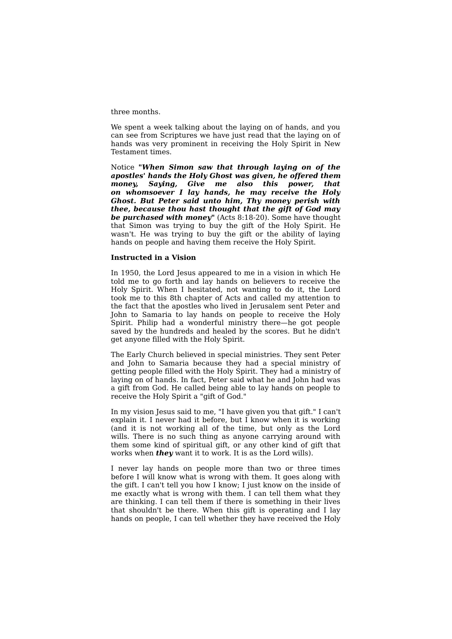three months.

We spent a week talking about the laying on of hands, and you can see from Scriptures we have just read that the laying on of hands was very prominent in receiving the Holy Spirit in New Testament times.

Notice *"When Simon saw that through laying on of the apostles' hands the Holy Ghost was given, he offered them money, Saying, Give me also this power, that on whomsoever I lay hands, he may receive the Holy Ghost. But Peter said unto him, Thy money perish with thee, because thou hast thought that the gift of God may be purchased with money"* (Acts 8:18-20). Some have thought that Simon was trying to buy the gift of the Holy Spirit. He wasn't. He was trying to buy the gift or the ability of laying hands on people and having them receive the Holy Spirit.

## **Instructed in a Vision**

In 1950, the Lord Jesus appeared to me in a vision in which He told me to go forth and lay hands on believers to receive the Holy Spirit. When I hesitated, not wanting to do it, the Lord took me to this 8th chapter of Acts and called my attention to the fact that the apostles who lived in Jerusalem sent Peter and John to Samaria to lay hands on people to receive the Holy Spirit. Philip had a wonderful ministry there—he got people saved by the hundreds and healed by the scores. But he didn't get anyone filled with the Holy Spirit.

The Early Church believed in special ministries. They sent Peter and John to Samaria because they had a special ministry of getting people filled with the Holy Spirit. They had a ministry of laying on of hands. In fact, Peter said what he and John had was a gift from God. He called being able to lay hands on people to receive the Holy Spirit a "gift of God."

In my vision Jesus said to me, "I have given you that gift." I can't explain it. I never had it before, but I know when it is working (and it is not working all of the time, but only as the Lord wills. There is no such thing as anyone carrying around with them some kind of spiritual gift, or any other kind of gift that works when *they* want it to work. It is as the Lord wills).

I never lay hands on people more than two or three times before I will know what is wrong with them. It goes along with the gift. I can't tell you how I know; I just know on the inside of me exactly what is wrong with them. I can tell them what they are thinking. I can tell them if there is something in their lives that shouldn't be there. When this gift is operating and I lay hands on people, I can tell whether they have received the Holy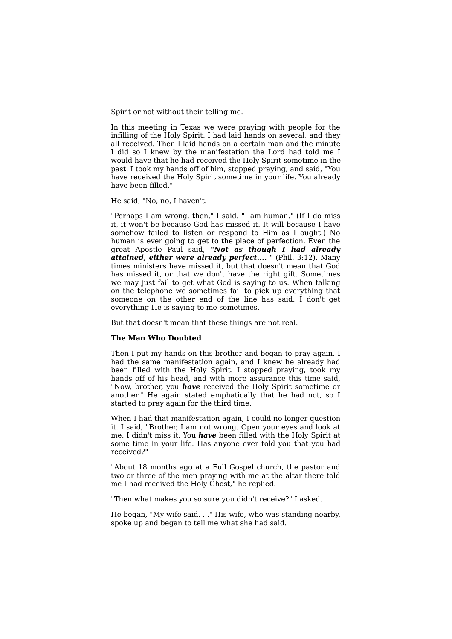Spirit or not without their telling me.

In this meeting in Texas we were praying with people for the infilling of the Holy Spirit. I had laid hands on several, and they all received. Then I laid hands on a certain man and the minute I did so I knew by the manifestation the Lord had told me I would have that he had received the Holy Spirit sometime in the past. I took my hands off of him, stopped praying, and said, "You have received the Holy Spirit sometime in your life. You already have been filled."

He said, "No, no, I haven't.

"Perhaps I am wrong, then," I said. "I am human." (If I do miss it, it won't be because God has missed it. It will because I have somehow failed to listen or respond to Him as I ought.) No human is ever going to get to the place of perfection. Even the great Apostle Paul said, *"Not as though I had already attained, either were already perfect....* " (Phil. 3:12). Many times ministers have missed it, but that doesn't mean that God has missed it, or that we don't have the right gift. Sometimes we may just fail to get what God is saying to us. When talking on the telephone we sometimes fail to pick up everything that someone on the other end of the line has said. I don't get everything He is saying to me sometimes.

But that doesn't mean that these things are not real.

# **The Man Who Doubted**

Then I put my hands on this brother and began to pray again. I had the same manifestation again, and I knew he already had been filled with the Holy Spirit. I stopped praying, took my hands off of his head, and with more assurance this time said, "Now, brother, you *have* received the Holy Spirit sometime or another." He again stated emphatically that he had not, so I started to pray again for the third time.

When I had that manifestation again, I could no longer question it. I said, "Brother, I am not wrong. Open your eyes and look at me. I didn't miss it. You *have* been filled with the Holy Spirit at some time in your life. Has anyone ever told you that you had received?"

"About 18 months ago at a Full Gospel church, the pastor and two or three of the men praying with me at the altar there told me I had received the Holy Ghost," he replied.

"Then what makes you so sure you didn't receive?" I asked.

He began, "My wife said. . ." His wife, who was standing nearby, spoke up and began to tell me what she had said.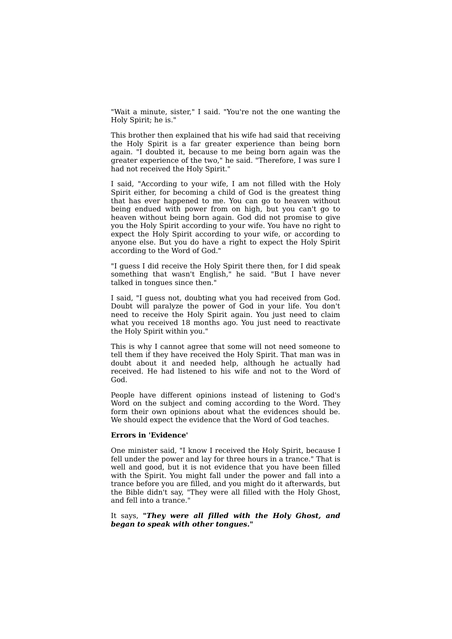"Wait a minute, sister," I said. "You're not the one wanting the Holy Spirit; he is."

This brother then explained that his wife had said that receiving the Holy Spirit is a far greater experience than being born again. "I doubted it, because to me being born again was the greater experience of the two," he said. "Therefore, I was sure I had not received the Holy Spirit."

I said, "According to your wife, I am not filled with the Holy Spirit either, for becoming a child of God is the greatest thing that has ever happened to me. You can go to heaven without being endued with power from on high, but you can't go to heaven without being born again. God did not promise to give you the Holy Spirit according to your wife. You have no right to expect the Holy Spirit according to your wife, or according to anyone else. But you do have a right to expect the Holy Spirit according to the Word of God."

"I guess I did receive the Holy Spirit there then, for I did speak something that wasn't English," he said. "But I have never talked in tongues since then."

I said, "I guess not, doubting what you had received from God. Doubt will paralyze the power of God in your life. You don't need to receive the Holy Spirit again. You just need to claim what you received 18 months ago. You just need to reactivate the Holy Spirit within you."

This is why I cannot agree that some will not need someone to tell them if they have received the Holy Spirit. That man was in doubt about it and needed help, although he actually had received. He had listened to his wife and not to the Word of God.

People have different opinions instead of listening to God's Word on the subject and coming according to the Word. They form their own opinions about what the evidences should be. We should expect the evidence that the Word of God teaches.

# **Errors in 'Evidence'**

One minister said, "I know I received the Holy Spirit, because I fell under the power and lay for three hours in a trance." That is well and good, but it is not evidence that you have been filled with the Spirit. You might fall under the power and fall into a trance before you are filled, and you might do it afterwards, but the Bible didn't say, "They were all filled with the Holy Ghost, and fell into a trance."

It says, *"They were all filled with the Holy Ghost, and began to speak with other tongues."*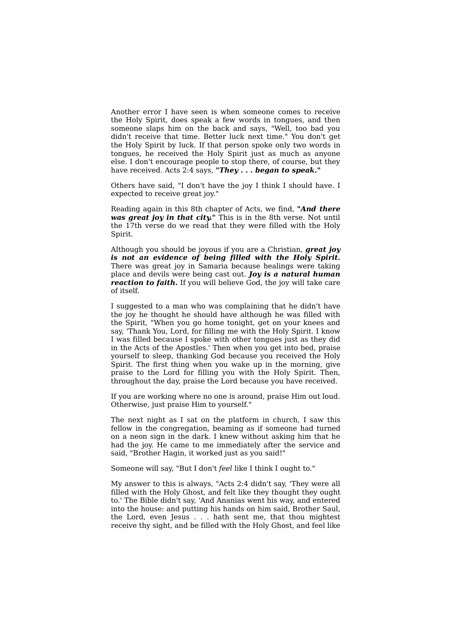Another error I have seen is when someone comes to receive the Holy Spirit, does speak a few words in tongues, and then someone slaps him on the back and says, "Well, too bad you didn't receive that time. Better luck next time." You don't get the Holy Spirit by luck. If that person spoke only two words in tongues, he received the Holy Spirit just as much as anyone else. I don't encourage people to stop there, of course, but they have received. Acts 2:4 says, *"They . . . began to speak."*

Others have said, "I don't have the joy I think I should have. I expected to receive great joy."

Reading again in this 8th chapter of Acts, we find, *"And there was great joy in that city."* This is in the 8th verse. Not until the 17th verse do we read that they were filled with the Holy Spirit.

Although you should be joyous if you are a Christian, *great joy is not an evidence of being filled with the Holy Spirit.* There was great joy in Samaria because healings were taking place and devils were being cast out. *Joy is a natural human reaction to faith.* If you will believe God, the joy will take care of itself.

I suggested to a man who was complaining that he didn't have the joy he thought he should have although he was filled with the Spirit, "When you go home tonight, get on your knees and say, 'Thank You, Lord, for filling me with the Holy Spirit. I know I was filled because I spoke with other tongues just as they did in the Acts of the Apostles.' Then when you get into bed, praise yourself to sleep, thanking God because you received the Holy Spirit. The first thing when you wake up in the morning, give praise to the Lord for filling you with the Holy Spirit. Then, throughout the day, praise the Lord because you have received.

If you are working where no one is around, praise Him out loud. Otherwise, just praise Him to yourself."

The next night as I sat on the platform in church, I saw this fellow in the congregation, beaming as if someone had turned on a neon sign in the dark. I knew without asking him that he had the joy. He came to me immediately after the service and said, "Brother Hagin, it worked just as you said!"

Someone will say, "But I don't *feel* like I think I ought to."

My answer to this is always, "Acts 2:4 didn't say, 'They were all filled with the Holy Ghost, and felt like they thought they ought to.' The Bible didn't say, 'And Ananias went his way, and entered into the house: and putting his hands on him said, Brother Saul, the Lord, even Jesus . . . hath sent me, that thou mightest receive thy sight, and be filled with the Holy Ghost, and feel like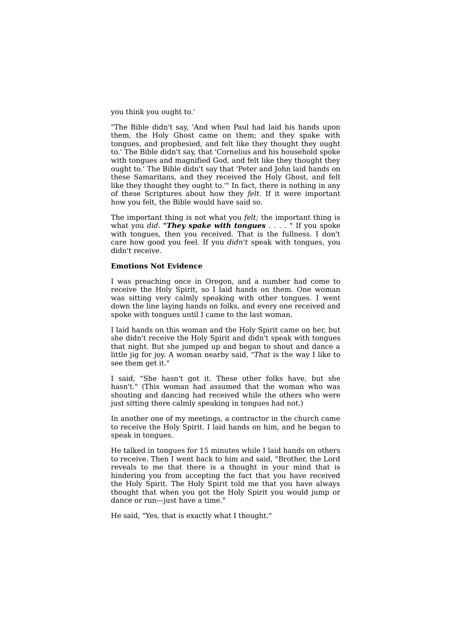you think you ought to.'

"The Bible didn't say, 'And when Paul had laid his hands upon them, the Holy Ghost came on them; and they spake with tongues, and prophesied, and felt like they thought they ought to.' The Bible didn't say, that 'Cornelius and his household spoke with tongues and magnified God, and felt like they thought they ought to.' The Bible didn't say that 'Peter and John laid hands on these Samaritans, and they received the Holy Ghost, and felt like they thought they ought to.'" In fact, there is nothing in any of these Scriptures about how they *felt.* If it were important how you felt, the Bible would have said so.

The important thing is not what you *felt;* the important thing is what you *did. "They spake with tongues* . . . . " If you spoke with tongues, then you received. That is the fullness. I don't care how good you feel. If you *didn't* speak with tongues, you didn't receive.

# **Emotions Not Evidence**

I was preaching once in Oregon, and a number had come to receive the Holy Spirit, so I laid hands on them. One woman was sitting very calmly speaking with other tongues. I went down the line laying hands on folks, and every one received and spoke with tongues until I came to the last woman.

I laid hands on this woman and the Holy Spirit came on her, but she didn't receive the Holy Spirit and didn't speak with tongues that night. But she jumped up and began to shout and dance a little jig for joy. A woman nearby said, *"That* is the way I like to see them get it."

I said, "She hasn't got it. These other folks have, but she hasn't." (This woman had assumed that the woman who was shouting and dancing had received while the others who were just sitting there calmly speaking in tongues had not.)

In another one of my meetings, a contractor in the church came to receive the Holy Spirit. I laid hands on him, and he began to speak in tongues.

He talked in tongues for 15 minutes while I laid hands on others to receive. Then I went back to him and said, "Brother, the Lord reveals to me that there is a thought in your mind that is hindering you from accepting the fact that you have received the Holy Spirit. The Holy Spirit told me that you have always thought that when you got the Holy Spirit you would jump or dance or run—just have a time."

He said, "Yes, that is exactly what I thought."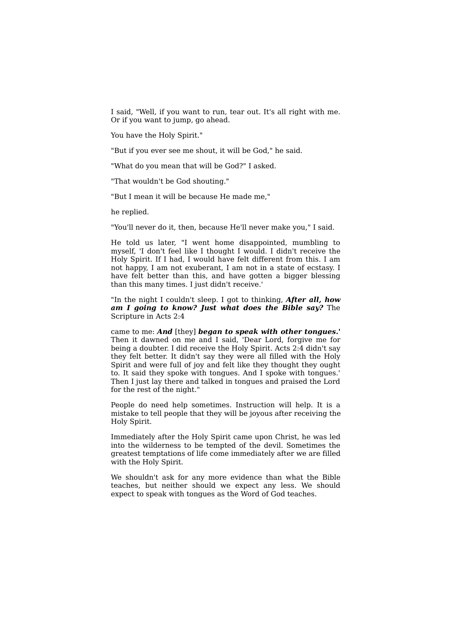I said, "Well, if you want to run, tear out. It's all right with me. Or if you want to jump, go ahead.

You have the Holy Spirit."

"But if you ever see me shout, it will be God," he said.

"What do you mean that will be God?" I asked.

"That wouldn't be God shouting."

"But I mean it will be because He made me,"

he replied.

"You'll never do it, then, because He'll never make you," I said.

He told us later, "I went home disappointed, mumbling to myself, 'I don't feel like I thought I would. I didn't receive the Holy Spirit. If I had, I would have felt different from this. I am not happy, I am not exuberant, I am not in a state of ecstasy. I have felt better than this, and have gotten a bigger blessing than this many times. I just didn't receive.'

"In the night I couldn't sleep. I got to thinking, *After all, how am I going to know? Just what does the Bible say?* The Scripture in Acts 2:4

came to me: *And* [they] *began to speak with other tongues.'* Then it dawned on me and I said, 'Dear Lord, forgive me for being a doubter. I did receive the Holy Spirit. Acts 2:4 didn't say they felt better. It didn't say they were all filled with the Holy Spirit and were full of joy and felt like they thought they ought to. It said they spoke with tongues. And I spoke with tongues.' Then I just lay there and talked in tongues and praised the Lord for the rest of the night."

People do need help sometimes. Instruction will help. It is a mistake to tell people that they will be joyous after receiving the Holy Spirit.

Immediately after the Holy Spirit came upon Christ, he was led into the wilderness to be tempted of the devil. Sometimes the greatest temptations of life come immediately after we are filled with the Holy Spirit.

We shouldn't ask for any more evidence than what the Bible teaches, but neither should we expect any less. We should expect to speak with tongues as the Word of God teaches.